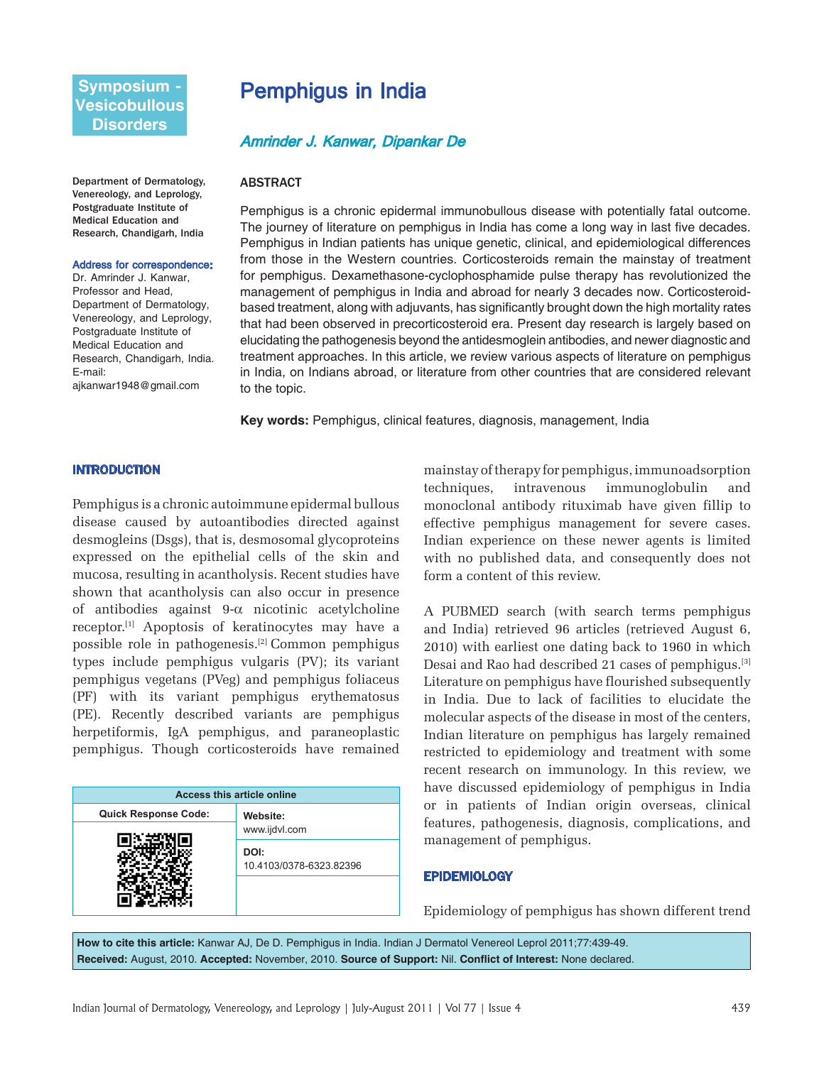# **Symposium - Vesicobullous Disorders**

Department of Dermatology, Venereology, and Leprology, Postgraduate Institute of Medical Education and Research, Chandigarh, India

#### Address for correspondence:

Dr. Amrinder J. Kanwar, Professor and Head, Department of Dermatology, Venereology, and Leprology, Postgraduate Institute of Medical Education and Research, Chandigarh, India. E-mail: ajkanwar1948@gmail.com

# Pemphigus in India

# Amrinder J. Kanwar, Dipankar De

#### **ABSTRACT**

Pemphigus is a chronic epidermal immunobullous disease with potentially fatal outcome. The journey of literature on pemphigus in India has come a long way in last five decades. Pemphigus in Indian patients has unique genetic, clinical, and epidemiological differences from those in the Western countries. Corticosteroids remain the mainstay of treatment for pemphigus. Dexamethasone-cyclophosphamide pulse therapy has revolutionized the management of pemphigus in India and abroad for nearly 3 decades now. Corticosteroidbased treatment, along with adjuvants, has significantly brought down the high mortality rates that had been observed in precorticosteroid era. Present day research is largely based on elucidating the pathogenesis beyond the antidesmoglein antibodies, and newer diagnostic and treatment approaches. In this article, we review various aspects of literature on pemphigus in India, on Indians abroad, or literature from other countries that are considered relevant to the topic.

**Key words:** Pemphigus, clinical features, diagnosis, management, India

#### INTRODUCTION

Pemphigus is a chronic autoimmune epidermal bullous disease caused by autoantibodies directed against desmogleins (Dsgs), that is, desmosomal glycoproteins expressed on the epithelial cells of the skin and mucosa, resulting in acantholysis. Recent studies have shown that acantholysis can also occur in presence of antibodies against 9-α nicotinic acetylcholine receptor.[1] Apoptosis of keratinocytes may have a possible role in pathogenesis.[2] Common pemphigus types include pemphigus vulgaris (PV); its variant pemphigus vegetans (PVeg) and pemphigus foliaceus (PF) with its variant pemphigus erythematosus (PE). Recently described variants are pemphigus herpetiformis, IgA pemphigus, and paraneoplastic pemphigus. Though corticosteroids have remained

| <b>Access this article online</b> |                                 |
|-----------------------------------|---------------------------------|
| <b>Quick Response Code:</b>       | Website:                        |
|                                   | www.ijdvl.com                   |
|                                   | DOI:<br>10.4103/0378-6323.82396 |
|                                   |                                 |

mainstay of therapy for pemphigus, immunoadsorption techniques, intravenous immunoglobulin and monoclonal antibody rituximab have given fillip to effective pemphigus management for severe cases. Indian experience on these newer agents is limited with no published data, and consequently does not form a content of this review.

A PUBMED search (with search terms pemphigus and India) retrieved 96 articles (retrieved August 6, 2010) with earliest one dating back to 1960 in which Desai and Rao had described 21 cases of pemphigus.[3] Literature on pemphigus have flourished subsequently in India. Due to lack of facilities to elucidate the molecular aspects of the disease in most of the centers, Indian literature on pemphigus has largely remained restricted to epidemiology and treatment with some recent research on immunology. In this review, we have discussed epidemiology of pemphigus in India or in patients of Indian origin overseas, clinical features, pathogenesis, diagnosis, complications, and management of pemphigus.

#### **EPIDEMIOLOGY**

Epidemiology of pemphigus has shown different trend

**How to cite this article:** Kanwar AJ, De D. Pemphigus in India. Indian J Dermatol Venereol Leprol 2011;77:439-49. **Received:** August, 2010. **Accepted:** November, 2010. **Source of Support:** Nil. **Conflict of Interest:** None declared.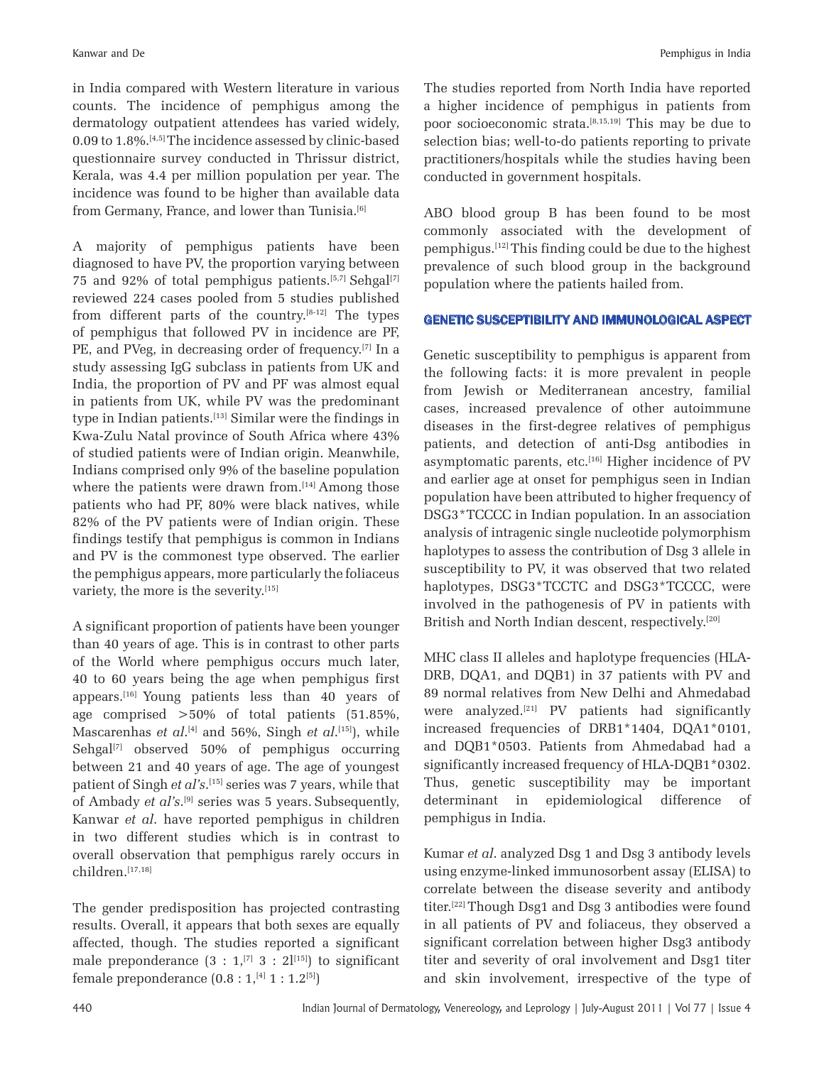in India compared with Western literature in various counts. The incidence of pemphigus among the dermatology outpatient attendees has varied widely, 0.09 to 1.8%.[4,5] The incidence assessed by clinic-based questionnaire survey conducted in Thrissur district, Kerala, was 4.4 per million population per year. The incidence was found to be higher than available data from Germany, France, and lower than Tunisia.<sup>[6]</sup>

A majority of pemphigus patients have been diagnosed to have PV, the proportion varying between 75 and 92% of total pemphigus patients.<sup>[5,7]</sup> Sehgal<sup>[7]</sup> reviewed 224 cases pooled from 5 studies published from different parts of the country.<sup>[8-12]</sup> The types of pemphigus that followed PV in incidence are PF, PE, and PVeg, in decreasing order of frequency.[7] In a study assessing IgG subclass in patients from UK and India, the proportion of PV and PF was almost equal in patients from UK, while PV was the predominant type in Indian patients.[13] Similar were the findings in Kwa-Zulu Natal province of South Africa where 43% of studied patients were of Indian origin. Meanwhile, Indians comprised only 9% of the baseline population where the patients were drawn from.<sup>[14]</sup> Among those patients who had PF, 80% were black natives, while 82% of the PV patients were of Indian origin. These findings testify that pemphigus is common in Indians and PV is the commonest type observed. The earlier the pemphigus appears, more particularly the foliaceus variety, the more is the severity.<sup>[15]</sup>

A significant proportion of patients have been younger than 40 years of age. This is in contrast to other parts of the World where pemphigus occurs much later, 40 to 60 years being the age when pemphigus first appears.[16] Young patients less than 40 years of age comprised >50% of total patients (51.85%, Mascarenhas *et al*.<sup>[4]</sup> and 56%, Singh *et al*.<sup>[15]</sup>), while Sehgal<sup>[7]</sup> observed 50% of pemphigus occurring between 21 and 40 years of age. The age of youngest patient of Singh *et al's*. [15] series was 7 years, while that of Ambady *et al's*. [9] series was 5 years. Subsequently, Kanwar *et al*. have reported pemphigus in children in two different studies which is in contrast to overall observation that pemphigus rarely occurs in children.[17,18]

The gender predisposition has projected contrasting results. Overall, it appears that both sexes are equally affected, though. The studies reported a significant male preponderance  $(3 : 1, [7] \ 3 : 2]^{[15]}$  to significant female preponderance  $(0.8 : 1, {}^{[4]} 1 : 1.2^{[5]})$ 

The studies reported from North India have reported a higher incidence of pemphigus in patients from poor socioeconomic strata.[8,15,19] This may be due to selection bias; well-to-do patients reporting to private practitioners/hospitals while the studies having been conducted in government hospitals.

ABO blood group B has been found to be most commonly associated with the development of pemphigus.[12] This finding could be due to the highest prevalence of such blood group in the background population where the patients hailed from.

## GENETIC SUSCEPTIBILITY AND IMMUNOLOGICAL ASPECT

Genetic susceptibility to pemphigus is apparent from the following facts: it is more prevalent in people from Jewish or Mediterranean ancestry, familial cases, increased prevalence of other autoimmune diseases in the first-degree relatives of pemphigus patients, and detection of anti-Dsg antibodies in asymptomatic parents, etc.<sup>[16]</sup> Higher incidence of PV and earlier age at onset for pemphigus seen in Indian population have been attributed to higher frequency of DSG3\*TCCCC in Indian population. In an association analysis of intragenic single nucleotide polymorphism haplotypes to assess the contribution of Dsg 3 allele in susceptibility to PV, it was observed that two related haplotypes, DSG3\*TCCTC and DSG3\*TCCCC, were involved in the pathogenesis of PV in patients with British and North Indian descent, respectively.<sup>[20]</sup>

MHC class II alleles and haplotype frequencies (HLA-DRB, DQA1, and DQB1) in 37 patients with PV and 89 normal relatives from New Delhi and Ahmedabad were analyzed.[21] PV patients had significantly increased frequencies of DRB1\*1404, DQA1\*0101, and DQB1\*0503. Patients from Ahmedabad had a significantly increased frequency of HLA-DQB1\*0302. Thus, genetic susceptibility may be important determinant in epidemiological difference of pemphigus in India.

Kumar *et al*. analyzed Dsg 1 and Dsg 3 antibody levels using enzyme-linked immunosorbent assay (ELISA) to correlate between the disease severity and antibody titer.[22] Though Dsg1 and Dsg 3 antibodies were found in all patients of PV and foliaceus, they observed a significant correlation between higher Dsg3 antibody titer and severity of oral involvement and Dsg1 titer and skin involvement, irrespective of the type of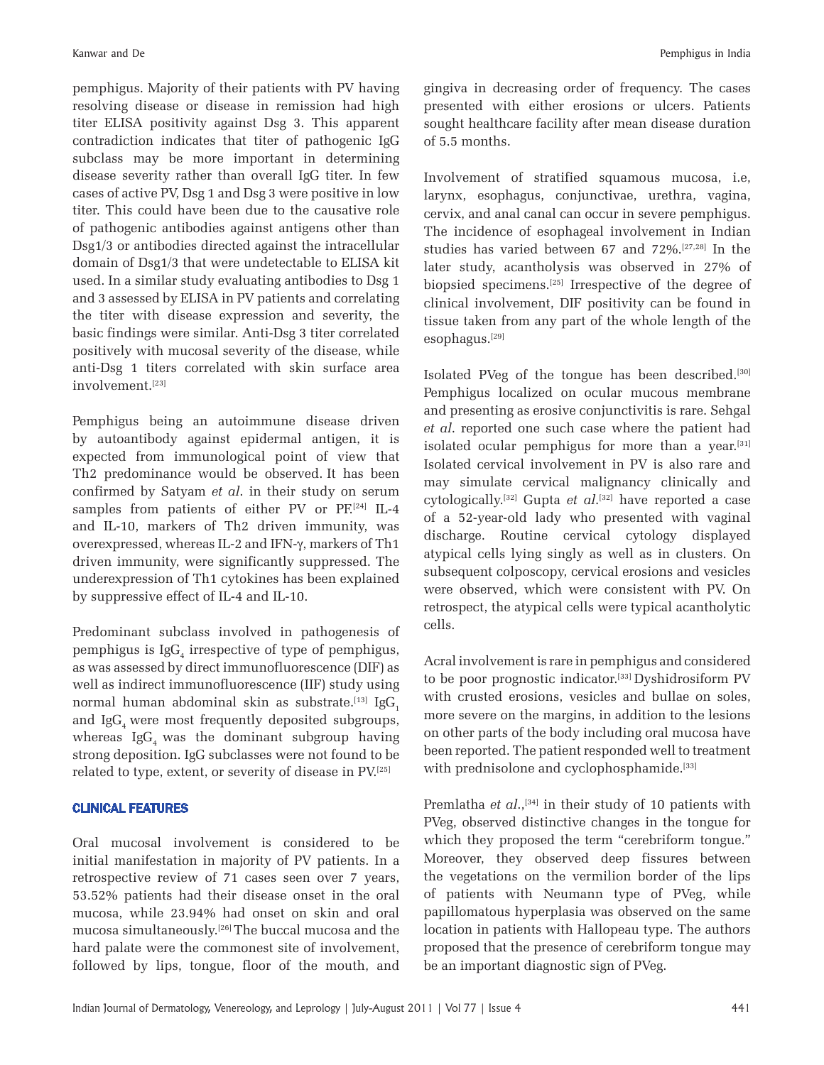pemphigus. Majority of their patients with PV having resolving disease or disease in remission had high titer ELISA positivity against Dsg 3. This apparent contradiction indicates that titer of pathogenic IgG subclass may be more important in determining disease severity rather than overall IgG titer. In few cases of active PV, Dsg 1 and Dsg 3 were positive in low titer. This could have been due to the causative role of pathogenic antibodies against antigens other than Dsg1/3 or antibodies directed against the intracellular domain of Dsg1/3 that were undetectable to ELISA kit used. In a similar study evaluating antibodies to Dsg 1 and 3 assessed by ELISA in PV patients and correlating the titer with disease expression and severity, the basic findings were similar. Anti-Dsg 3 titer correlated positively with mucosal severity of the disease, while anti-Dsg 1 titers correlated with skin surface area involvement.<sup>[23]</sup>

Pemphigus being an autoimmune disease driven by autoantibody against epidermal antigen, it is expected from immunological point of view that Th2 predominance would be observed. It has been confirmed by Satyam *et al*. in their study on serum samples from patients of either PV or  $PF^{[24]}$  IL-4 and IL-10, markers of Th2 driven immunity, was overexpressed, whereas IL-2 and IFN-γ, markers of Th1 driven immunity, were significantly suppressed. The underexpression of Th1 cytokines has been explained by suppressive effect of IL-4 and IL-10.

Predominant subclass involved in pathogenesis of pemphigus is  $\mathrm{IgG}_{4}$  irrespective of type of pemphigus, as was assessed by direct immunofluorescence (DIF) as well as indirect immunofluorescence (IIF) study using normal human abdominal skin as substrate.<sup>[13]</sup> IgG<sub>1</sub> and IgG, were most frequently deposited subgroups, whereas  $I$ g $G<sub>i</sub>$  was the dominant subgroup having strong deposition. IgG subclasses were not found to be related to type, extent, or severity of disease in PV.[25]

#### CLINICAL FEATURES

Oral mucosal involvement is considered to be initial manifestation in majority of PV patients. In a retrospective review of 71 cases seen over 7 years, 53.52% patients had their disease onset in the oral mucosa, while 23.94% had onset on skin and oral mucosa simultaneously.[26] The buccal mucosa and the hard palate were the commonest site of involvement, followed by lips, tongue, floor of the mouth, and gingiva in decreasing order of frequency. The cases presented with either erosions or ulcers. Patients sought healthcare facility after mean disease duration of 5.5 months.

Involvement of stratified squamous mucosa, i.e, larynx, esophagus, conjunctivae, urethra, vagina, cervix, and anal canal can occur in severe pemphigus. The incidence of esophageal involvement in Indian studies has varied between 67 and 72%.[27,28] In the later study, acantholysis was observed in 27% of biopsied specimens.[25] Irrespective of the degree of clinical involvement, DIF positivity can be found in tissue taken from any part of the whole length of the esophagus.[29]

Isolated PVeg of the tongue has been described.[30] Pemphigus localized on ocular mucous membrane and presenting as erosive conjunctivitis is rare. Sehgal *et al*. reported one such case where the patient had isolated ocular pemphigus for more than a year.<sup>[31]</sup> Isolated cervical involvement in PV is also rare and may simulate cervical malignancy clinically and cytologically.<sup>[32]</sup> Gupta *et al*.<sup>[32]</sup> have reported a case of a 52-year-old lady who presented with vaginal discharge. Routine cervical cytology displayed atypical cells lying singly as well as in clusters. On subsequent colposcopy, cervical erosions and vesicles were observed, which were consistent with PV. On retrospect, the atypical cells were typical acantholytic cells.

Acral involvement is rare in pemphigus and considered to be poor prognostic indicator.[33] Dyshidrosiform PV with crusted erosions, vesicles and bullae on soles, more severe on the margins, in addition to the lesions on other parts of the body including oral mucosa have been reported. The patient responded well to treatment with prednisolone and cyclophosphamide.<sup>[33]</sup>

Premlatha *et al.*,<sup>[34]</sup> in their study of 10 patients with PVeg, observed distinctive changes in the tongue for which they proposed the term "cerebriform tongue." Moreover, they observed deep fissures between the vegetations on the vermilion border of the lips of patients with Neumann type of PVeg, while papillomatous hyperplasia was observed on the same location in patients with Hallopeau type. The authors proposed that the presence of cerebriform tongue may be an important diagnostic sign of PVeg.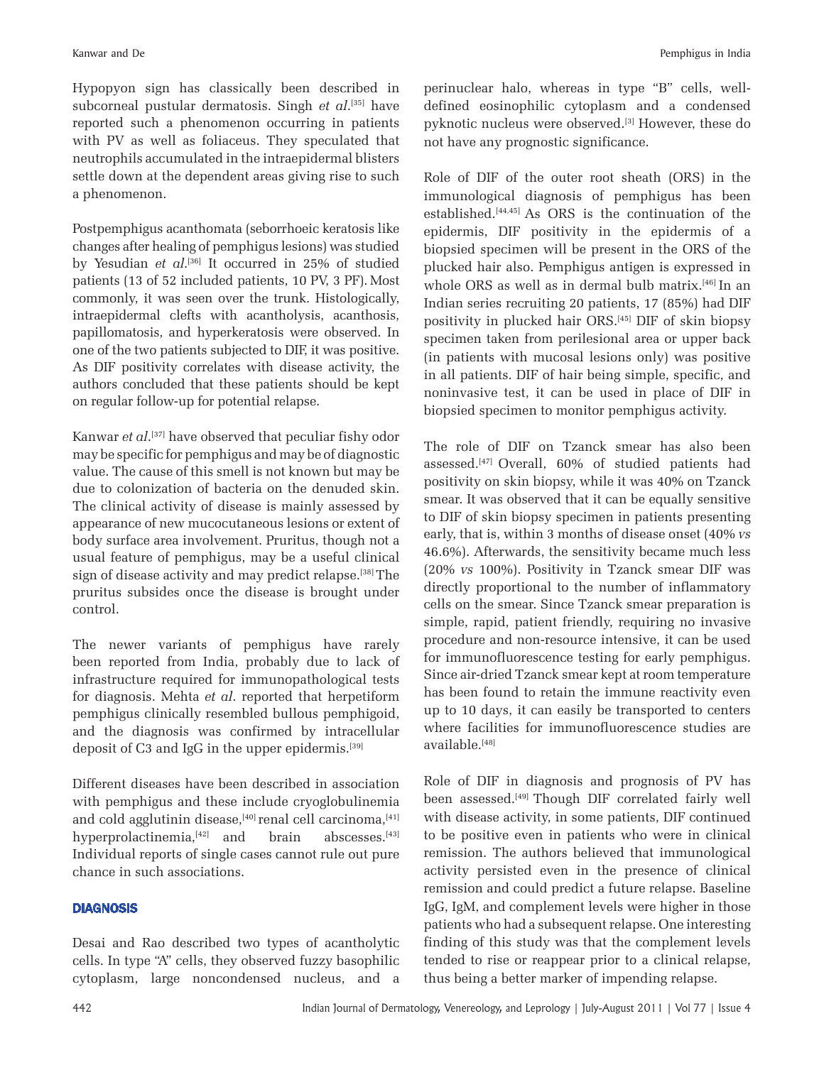Hypopyon sign has classically been described in subcorneal pustular dermatosis. Singh *et al*. [35] have reported such a phenomenon occurring in patients with PV as well as foliaceus. They speculated that neutrophils accumulated in the intraepidermal blisters settle down at the dependent areas giving rise to such a phenomenon.

Postpemphigus acanthomata (seborrhoeic keratosis like changes after healing of pemphigus lesions) was studied by Yesudian *et al*. [36] It occurred in 25% of studied patients (13 of 52 included patients, 10 PV, 3 PF). Most commonly, it was seen over the trunk. Histologically, intraepidermal clefts with acantholysis, acanthosis, papillomatosis, and hyperkeratosis were observed. In one of the two patients subjected to DIF, it was positive. As DIF positivity correlates with disease activity, the authors concluded that these patients should be kept on regular follow-up for potential relapse.

Kanwar *et al*. [37] have observed that peculiar fishy odor may be specific for pemphigus and may be of diagnostic value. The cause of this smell is not known but may be due to colonization of bacteria on the denuded skin. The clinical activity of disease is mainly assessed by appearance of new mucocutaneous lesions or extent of body surface area involvement. Pruritus, though not a usual feature of pemphigus, may be a useful clinical sign of disease activity and may predict relapse.<sup>[38]</sup> The pruritus subsides once the disease is brought under control.

The newer variants of pemphigus have rarely been reported from India, probably due to lack of infrastructure required for immunopathological tests for diagnosis. Mehta *et al*. reported that herpetiform pemphigus clinically resembled bullous pemphigoid, and the diagnosis was confirmed by intracellular deposit of C3 and IgG in the upper epidermis.<sup>[39]</sup>

Different diseases have been described in association with pemphigus and these include cryoglobulinemia and cold agglutinin disease, $[40]$  renal cell carcinoma, $[41]$ hyperprolactinemia, $[42]$  and brain abscesses. $[43]$ Individual reports of single cases cannot rule out pure chance in such associations.

#### **DIAGNOSIS**

Desai and Rao described two types of acantholytic cells. In type "A" cells, they observed fuzzy basophilic cytoplasm, large noncondensed nucleus, and a perinuclear halo, whereas in type "B" cells, welldefined eosinophilic cytoplasm and a condensed pyknotic nucleus were observed.[3] However, these do not have any prognostic significance.

Role of DIF of the outer root sheath (ORS) in the immunological diagnosis of pemphigus has been established.[44,45] As ORS is the continuation of the epidermis, DIF positivity in the epidermis of a biopsied specimen will be present in the ORS of the plucked hair also. Pemphigus antigen is expressed in whole ORS as well as in dermal bulb matrix.[46] In an Indian series recruiting 20 patients, 17 (85%) had DIF positivity in plucked hair ORS.[45] DIF of skin biopsy specimen taken from perilesional area or upper back (in patients with mucosal lesions only) was positive in all patients. DIF of hair being simple, specific, and noninvasive test, it can be used in place of DIF in biopsied specimen to monitor pemphigus activity.

The role of DIF on Tzanck smear has also been assessed.[47] Overall, 60% of studied patients had positivity on skin biopsy, while it was 40% on Tzanck smear. It was observed that it can be equally sensitive to DIF of skin biopsy specimen in patients presenting early, that is, within 3 months of disease onset (40% *vs* 46.6%). Afterwards, the sensitivity became much less (20% *vs* 100%). Positivity in Tzanck smear DIF was directly proportional to the number of inflammatory cells on the smear. Since Tzanck smear preparation is simple, rapid, patient friendly, requiring no invasive procedure and non-resource intensive, it can be used for immunofluorescence testing for early pemphigus. Since air-dried Tzanck smear kept at room temperature has been found to retain the immune reactivity even up to 10 days, it can easily be transported to centers where facilities for immunofluorescence studies are available.[48]

Role of DIF in diagnosis and prognosis of PV has been assessed.<sup>[49]</sup> Though DIF correlated fairly well with disease activity, in some patients, DIF continued to be positive even in patients who were in clinical remission. The authors believed that immunological activity persisted even in the presence of clinical remission and could predict a future relapse. Baseline IgG, IgM, and complement levels were higher in those patients who had a subsequent relapse. One interesting finding of this study was that the complement levels tended to rise or reappear prior to a clinical relapse, thus being a better marker of impending relapse.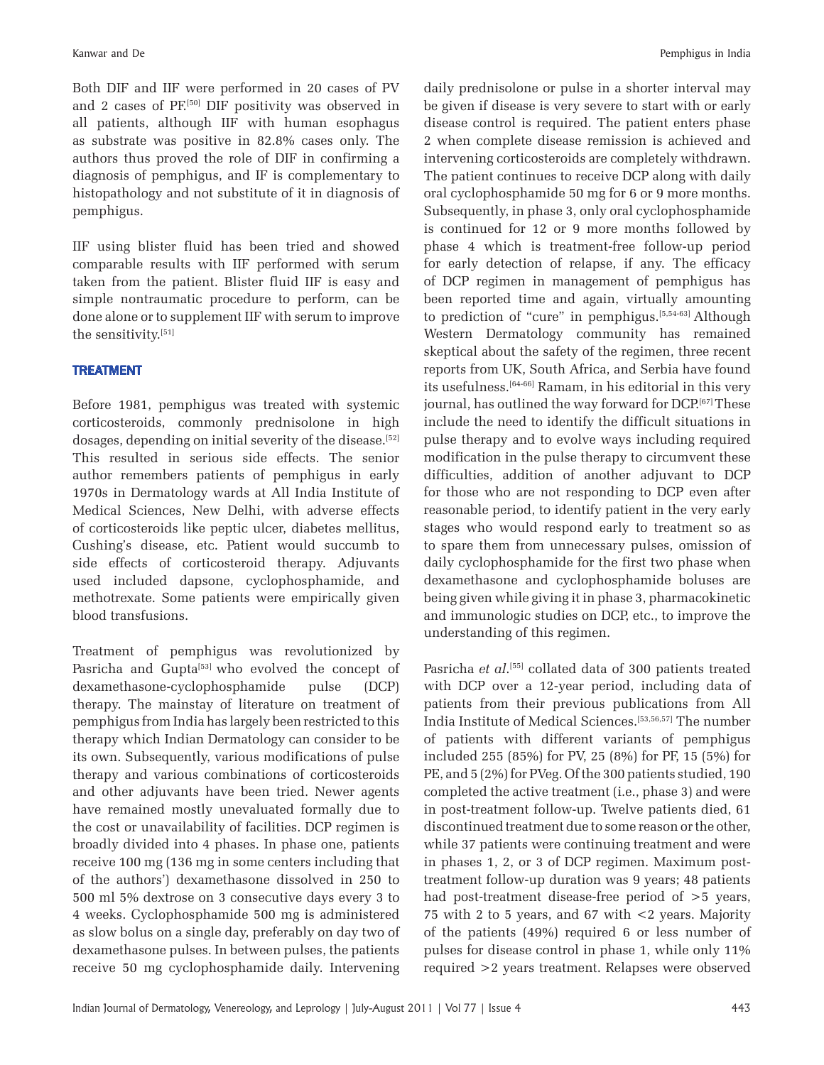Both DIF and IIF were performed in 20 cases of PV and 2 cases of PF.[50] DIF positivity was observed in all patients, although IIF with human esophagus as substrate was positive in 82.8% cases only. The authors thus proved the role of DIF in confirming a diagnosis of pemphigus, and IF is complementary to histopathology and not substitute of it in diagnosis of pemphigus.

IIF using blister fluid has been tried and showed comparable results with IIF performed with serum taken from the patient. Blister fluid IIF is easy and simple nontraumatic procedure to perform, can be done alone or to supplement IIF with serum to improve the sensitivity.[51]

## TREATMENT

Before 1981, pemphigus was treated with systemic corticosteroids, commonly prednisolone in high dosages, depending on initial severity of the disease.<sup>[52]</sup> This resulted in serious side effects. The senior author remembers patients of pemphigus in early 1970s in Dermatology wards at All India Institute of Medical Sciences, New Delhi, with adverse effects of corticosteroids like peptic ulcer, diabetes mellitus, Cushing's disease, etc. Patient would succumb to side effects of corticosteroid therapy. Adjuvants used included dapsone, cyclophosphamide, and methotrexate. Some patients were empirically given blood transfusions.

Treatment of pemphigus was revolutionized by Pasricha and Gupta<sup>[53]</sup> who evolved the concept of dexamethasone-cyclophosphamide pulse (DCP) therapy. The mainstay of literature on treatment of pemphigus from India has largely been restricted to this therapy which Indian Dermatology can consider to be its own. Subsequently, various modifications of pulse therapy and various combinations of corticosteroids and other adjuvants have been tried. Newer agents have remained mostly unevaluated formally due to the cost or unavailability of facilities. DCP regimen is broadly divided into 4 phases. In phase one, patients receive 100 mg (136 mg in some centers including that of the authors') dexamethasone dissolved in 250 to 500 ml 5% dextrose on 3 consecutive days every 3 to 4 weeks. Cyclophosphamide 500 mg is administered as slow bolus on a single day, preferably on day two of dexamethasone pulses. In between pulses, the patients receive 50 mg cyclophosphamide daily. Intervening daily prednisolone or pulse in a shorter interval may be given if disease is very severe to start with or early disease control is required. The patient enters phase 2 when complete disease remission is achieved and intervening corticosteroids are completely withdrawn. The patient continues to receive DCP along with daily oral cyclophosphamide 50 mg for 6 or 9 more months. Subsequently, in phase 3, only oral cyclophosphamide is continued for 12 or 9 more months followed by phase 4 which is treatment-free follow-up period for early detection of relapse, if any. The efficacy of DCP regimen in management of pemphigus has been reported time and again, virtually amounting to prediction of "cure" in pemphigus.[5,54-63] Although Western Dermatology community has remained skeptical about the safety of the regimen, three recent reports from UK, South Africa, and Serbia have found its usefulness.[64-66] Ramam, in his editorial in this very journal, has outlined the way forward for DCP.<sup>[67]</sup> These include the need to identify the difficult situations in pulse therapy and to evolve ways including required modification in the pulse therapy to circumvent these difficulties, addition of another adjuvant to DCP for those who are not responding to DCP even after reasonable period, to identify patient in the very early stages who would respond early to treatment so as to spare them from unnecessary pulses, omission of daily cyclophosphamide for the first two phase when dexamethasone and cyclophosphamide boluses are being given while giving it in phase 3, pharmacokinetic and immunologic studies on DCP, etc., to improve the understanding of this regimen.

Pasricha *et al*.<sup>[55]</sup> collated data of 300 patients treated with DCP over a 12-year period, including data of patients from their previous publications from All India Institute of Medical Sciences.[53,56,57] The number of patients with different variants of pemphigus included 255 (85%) for PV, 25 (8%) for PF, 15 (5%) for PE, and 5 (2%) for PVeg. Of the 300 patients studied, 190 completed the active treatment (i.e., phase 3) and were in post-treatment follow-up. Twelve patients died, 61 discontinued treatment due to some reason or the other, while 37 patients were continuing treatment and were in phases 1, 2, or 3 of DCP regimen. Maximum posttreatment follow-up duration was 9 years; 48 patients had post-treatment disease-free period of  $>5$  years, 75 with 2 to 5 years, and 67 with <2 years. Majority of the patients (49%) required 6 or less number of pulses for disease control in phase 1, while only 11% required >2 years treatment. Relapses were observed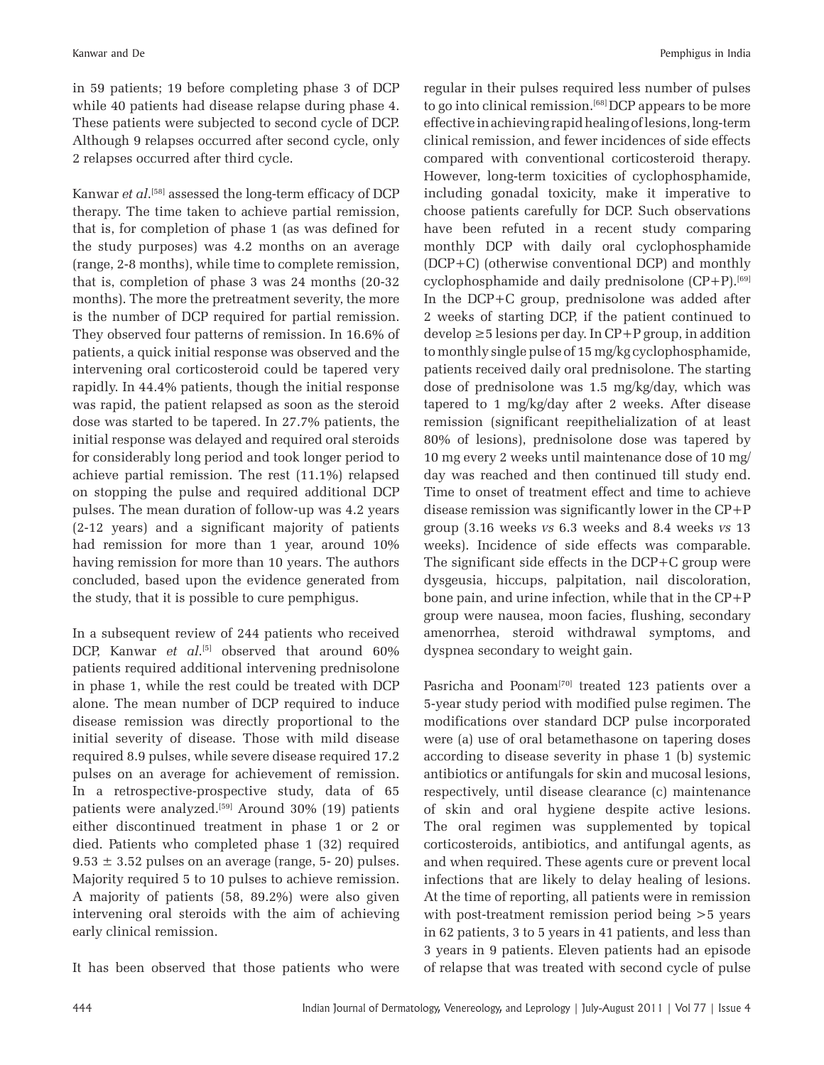in 59 patients; 19 before completing phase 3 of DCP while 40 patients had disease relapse during phase 4. These patients were subjected to second cycle of DCP. Although 9 relapses occurred after second cycle, only 2 relapses occurred after third cycle.

Kanwar *et al*. [58] assessed the long-term efficacy of DCP therapy. The time taken to achieve partial remission, that is, for completion of phase 1 (as was defined for the study purposes) was 4.2 months on an average (range, 2-8 months), while time to complete remission, that is, completion of phase 3 was 24 months (20-32 months). The more the pretreatment severity, the more is the number of DCP required for partial remission. They observed four patterns of remission. In 16.6% of patients, a quick initial response was observed and the intervening oral corticosteroid could be tapered very rapidly. In 44.4% patients, though the initial response was rapid, the patient relapsed as soon as the steroid dose was started to be tapered. In 27.7% patients, the initial response was delayed and required oral steroids for considerably long period and took longer period to achieve partial remission. The rest (11.1%) relapsed on stopping the pulse and required additional DCP pulses. The mean duration of follow-up was 4.2 years (2-12 years) and a significant majority of patients had remission for more than 1 year, around 10% having remission for more than 10 years. The authors concluded, based upon the evidence generated from the study, that it is possible to cure pemphigus.

In a subsequent review of 244 patients who received DCP, Kanwar *et al*. [5] observed that around 60% patients required additional intervening prednisolone in phase 1, while the rest could be treated with DCP alone. The mean number of DCP required to induce disease remission was directly proportional to the initial severity of disease. Those with mild disease required 8.9 pulses, while severe disease required 17.2 pulses on an average for achievement of remission. In a retrospective-prospective study, data of 65 patients were analyzed.<sup>[59]</sup> Around 30% (19) patients either discontinued treatment in phase 1 or 2 or died. Patients who completed phase 1 (32) required  $9.53 \pm 3.52$  pulses on an average (range, 5-20) pulses. Majority required 5 to 10 pulses to achieve remission. A majority of patients (58, 89.2%) were also given intervening oral steroids with the aim of achieving early clinical remission.

It has been observed that those patients who were

regular in their pulses required less number of pulses to go into clinical remission.[68] DCP appears to be more effective in achieving rapid healing of lesions, long-term clinical remission, and fewer incidences of side effects compared with conventional corticosteroid therapy. However, long-term toxicities of cyclophosphamide, including gonadal toxicity, make it imperative to choose patients carefully for DCP. Such observations have been refuted in a recent study comparing monthly DCP with daily oral cyclophosphamide (DCP+C) (otherwise conventional DCP) and monthly cyclophosphamide and daily prednisolone  $(CP+P)$ .<sup>[69]</sup> In the DCP+C group, prednisolone was added after 2 weeks of starting DCP, if the patient continued to  $develp \geq 5$  lesions per day. In  $CP+P$  group, in addition to monthly single pulse of 15 mg/kg cyclophosphamide, patients received daily oral prednisolone. The starting dose of prednisolone was 1.5 mg/kg/day, which was tapered to 1 mg/kg/day after 2 weeks. After disease remission (significant reepithelialization of at least 80% of lesions), prednisolone dose was tapered by 10 mg every 2 weeks until maintenance dose of 10 mg/ day was reached and then continued till study end. Time to onset of treatment effect and time to achieve disease remission was significantly lower in the CP+P group (3.16 weeks *vs* 6.3 weeks and 8.4 weeks *vs* 13 weeks). Incidence of side effects was comparable. The significant side effects in the DCP+C group were dysgeusia, hiccups, palpitation, nail discoloration, bone pain, and urine infection, while that in the CP+P group were nausea, moon facies, flushing, secondary amenorrhea, steroid withdrawal symptoms, and dyspnea secondary to weight gain.

Pasricha and Poonam<sup>[70]</sup> treated 123 patients over a 5-year study period with modified pulse regimen. The modifications over standard DCP pulse incorporated were (a) use of oral betamethasone on tapering doses according to disease severity in phase 1 (b) systemic antibiotics or antifungals for skin and mucosal lesions, respectively, until disease clearance (c) maintenance of skin and oral hygiene despite active lesions. The oral regimen was supplemented by topical corticosteroids, antibiotics, and antifungal agents, as and when required. These agents cure or prevent local infections that are likely to delay healing of lesions. At the time of reporting, all patients were in remission with post-treatment remission period being >5 years in 62 patients, 3 to 5 years in 41 patients, and less than 3 years in 9 patients. Eleven patients had an episode of relapse that was treated with second cycle of pulse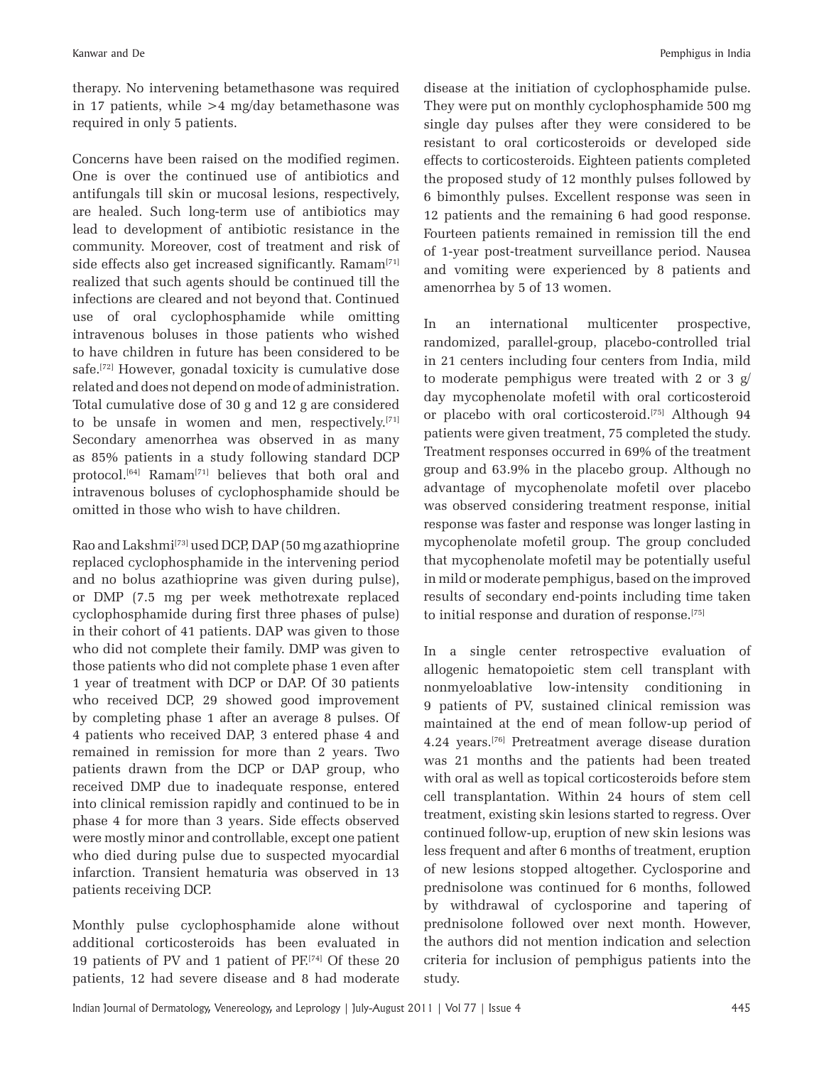therapy. No intervening betamethasone was required in 17 patients, while  $>4$  mg/day betamethasone was required in only 5 patients.

Concerns have been raised on the modified regimen. One is over the continued use of antibiotics and antifungals till skin or mucosal lesions, respectively, are healed. Such long-term use of antibiotics may lead to development of antibiotic resistance in the community. Moreover, cost of treatment and risk of side effects also get increased significantly. Ramam<sup>[71]</sup> realized that such agents should be continued till the infections are cleared and not beyond that. Continued use of oral cyclophosphamide while omitting intravenous boluses in those patients who wished to have children in future has been considered to be safe.<sup>[72]</sup> However, gonadal toxicity is cumulative dose related and does not depend on mode of administration. Total cumulative dose of 30 g and 12 g are considered to be unsafe in women and men, respectively.[71] Secondary amenorrhea was observed in as many as 85% patients in a study following standard DCP protocol.[64] Ramam[71] believes that both oral and intravenous boluses of cyclophosphamide should be omitted in those who wish to have children.

Rao and Lakshmi[73] used DCP, DAP (50 mg azathioprine replaced cyclophosphamide in the intervening period and no bolus azathioprine was given during pulse), or DMP (7.5 mg per week methotrexate replaced cyclophosphamide during first three phases of pulse) in their cohort of 41 patients. DAP was given to those who did not complete their family. DMP was given to those patients who did not complete phase 1 even after 1 year of treatment with DCP or DAP. Of 30 patients who received DCP, 29 showed good improvement by completing phase 1 after an average 8 pulses. Of 4 patients who received DAP, 3 entered phase 4 and remained in remission for more than 2 years. Two patients drawn from the DCP or DAP group, who received DMP due to inadequate response, entered into clinical remission rapidly and continued to be in phase 4 for more than 3 years. Side effects observed were mostly minor and controllable, except one patient who died during pulse due to suspected myocardial infarction. Transient hematuria was observed in 13 patients receiving DCP.

Monthly pulse cyclophosphamide alone without additional corticosteroids has been evaluated in 19 patients of PV and 1 patient of PF.[74] Of these 20 patients, 12 had severe disease and 8 had moderate disease at the initiation of cyclophosphamide pulse. They were put on monthly cyclophosphamide 500 mg single day pulses after they were considered to be resistant to oral corticosteroids or developed side effects to corticosteroids. Eighteen patients completed the proposed study of 12 monthly pulses followed by 6 bimonthly pulses. Excellent response was seen in 12 patients and the remaining 6 had good response. Fourteen patients remained in remission till the end of 1-year post-treatment surveillance period. Nausea and vomiting were experienced by 8 patients and amenorrhea by 5 of 13 women.

In an international multicenter prospective, randomized, parallel-group, placebo-controlled trial in 21 centers including four centers from India, mild to moderate pemphigus were treated with 2 or 3 g/ day mycophenolate mofetil with oral corticosteroid or placebo with oral corticosteroid.[75] Although 94 patients were given treatment, 75 completed the study. Treatment responses occurred in 69% of the treatment group and 63.9% in the placebo group. Although no advantage of mycophenolate mofetil over placebo was observed considering treatment response, initial response was faster and response was longer lasting in mycophenolate mofetil group. The group concluded that mycophenolate mofetil may be potentially useful in mild or moderate pemphigus, based on the improved results of secondary end-points including time taken to initial response and duration of response.[75]

In a single center retrospective evaluation of allogenic hematopoietic stem cell transplant with nonmyeloablative low-intensity conditioning in 9 patients of PV, sustained clinical remission was maintained at the end of mean follow-up period of 4.24 years.[76] Pretreatment average disease duration was 21 months and the patients had been treated with oral as well as topical corticosteroids before stem cell transplantation. Within 24 hours of stem cell treatment, existing skin lesions started to regress. Over continued follow-up, eruption of new skin lesions was less frequent and after 6 months of treatment, eruption of new lesions stopped altogether. Cyclosporine and prednisolone was continued for 6 months, followed by withdrawal of cyclosporine and tapering of prednisolone followed over next month. However, the authors did not mention indication and selection criteria for inclusion of pemphigus patients into the study.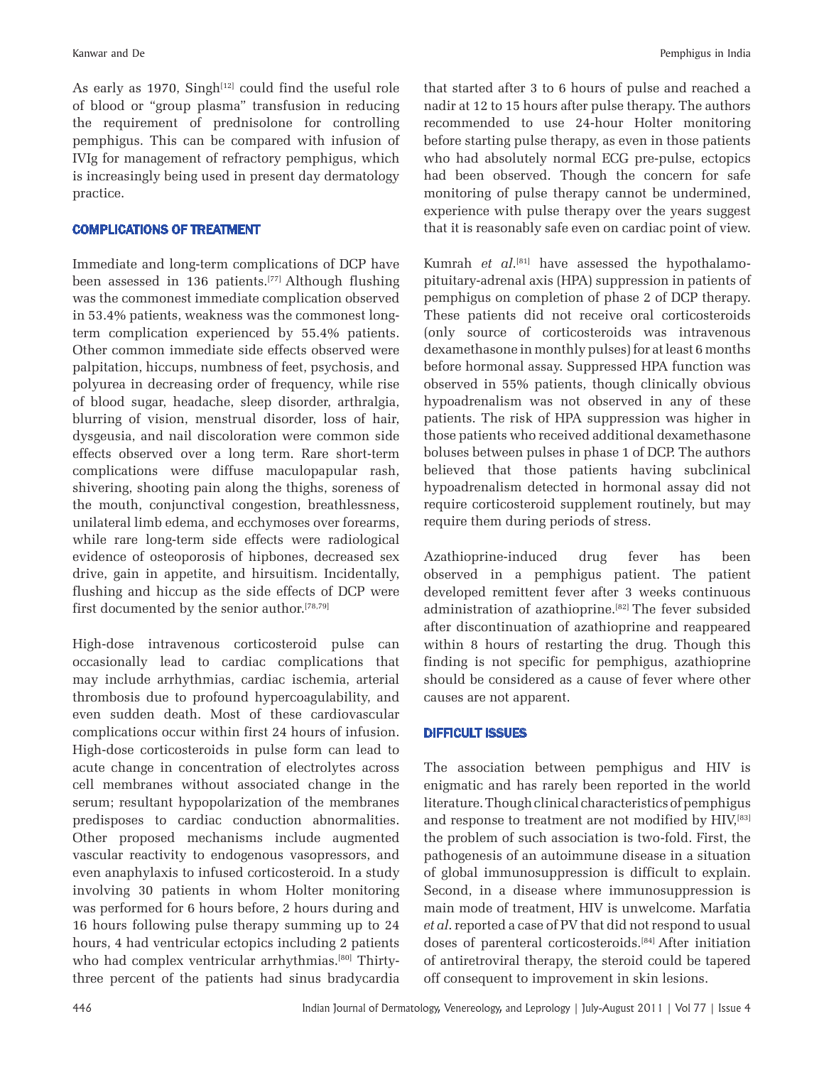As early as 1970, Singh $[12]$  could find the useful role of blood or "group plasma" transfusion in reducing the requirement of prednisolone for controlling pemphigus. This can be compared with infusion of IVIg for management of refractory pemphigus, which is increasingly being used in present day dermatology practice.

### COMPLICATIONS OF TREATMENT

Immediate and long-term complications of DCP have been assessed in 136 patients.[77] Although flushing was the commonest immediate complication observed in 53.4% patients, weakness was the commonest longterm complication experienced by 55.4% patients. Other common immediate side effects observed were palpitation, hiccups, numbness of feet, psychosis, and polyurea in decreasing order of frequency, while rise of blood sugar, headache, sleep disorder, arthralgia, blurring of vision, menstrual disorder, loss of hair, dysgeusia, and nail discoloration were common side effects observed over a long term. Rare short-term complications were diffuse maculopapular rash, shivering, shooting pain along the thighs, soreness of the mouth, conjunctival congestion, breathlessness, unilateral limb edema, and ecchymoses over forearms, while rare long-term side effects were radiological evidence of osteoporosis of hipbones, decreased sex drive, gain in appetite, and hirsuitism. Incidentally, flushing and hiccup as the side effects of DCP were first documented by the senior author.<sup>[78,79]</sup>

High-dose intravenous corticosteroid pulse can occasionally lead to cardiac complications that may include arrhythmias, cardiac ischemia, arterial thrombosis due to profound hypercoagulability, and even sudden death. Most of these cardiovascular complications occur within first 24 hours of infusion. High-dose corticosteroids in pulse form can lead to acute change in concentration of electrolytes across cell membranes without associated change in the serum; resultant hypopolarization of the membranes predisposes to cardiac conduction abnormalities. Other proposed mechanisms include augmented vascular reactivity to endogenous vasopressors, and even anaphylaxis to infused corticosteroid. In a study involving 30 patients in whom Holter monitoring was performed for 6 hours before, 2 hours during and 16 hours following pulse therapy summing up to 24 hours, 4 had ventricular ectopics including 2 patients who had complex ventricular arrhythmias.<sup>[80]</sup> Thirtythree percent of the patients had sinus bradycardia that started after 3 to 6 hours of pulse and reached a nadir at 12 to 15 hours after pulse therapy. The authors recommended to use 24-hour Holter monitoring before starting pulse therapy, as even in those patients who had absolutely normal ECG pre-pulse, ectopics had been observed. Though the concern for safe monitoring of pulse therapy cannot be undermined, experience with pulse therapy over the years suggest that it is reasonably safe even on cardiac point of view.

Kumrah *et al*.<sup>[81]</sup> have assessed the hypothalamopituitary-adrenal axis (HPA) suppression in patients of pemphigus on completion of phase 2 of DCP therapy. These patients did not receive oral corticosteroids (only source of corticosteroids was intravenous dexamethasone in monthly pulses) for at least 6 months before hormonal assay. Suppressed HPA function was observed in 55% patients, though clinically obvious hypoadrenalism was not observed in any of these patients. The risk of HPA suppression was higher in those patients who received additional dexamethasone boluses between pulses in phase 1 of DCP. The authors believed that those patients having subclinical hypoadrenalism detected in hormonal assay did not require corticosteroid supplement routinely, but may require them during periods of stress.

Azathioprine-induced drug fever has been observed in a pemphigus patient. The patient developed remittent fever after 3 weeks continuous administration of azathioprine.[82] The fever subsided after discontinuation of azathioprine and reappeared within 8 hours of restarting the drug. Though this finding is not specific for pemphigus, azathioprine should be considered as a cause of fever where other causes are not apparent.

#### DIFFICULT ISSUES

The association between pemphigus and HIV is enigmatic and has rarely been reported in the world literature. Though clinical characteristics of pemphigus and response to treatment are not modified by HIV, [83] the problem of such association is two-fold. First, the pathogenesis of an autoimmune disease in a situation of global immunosuppression is difficult to explain. Second, in a disease where immunosuppression is main mode of treatment, HIV is unwelcome. Marfatia *et al*. reported a case of PV that did not respond to usual doses of parenteral corticosteroids.[84] After initiation of antiretroviral therapy, the steroid could be tapered off consequent to improvement in skin lesions.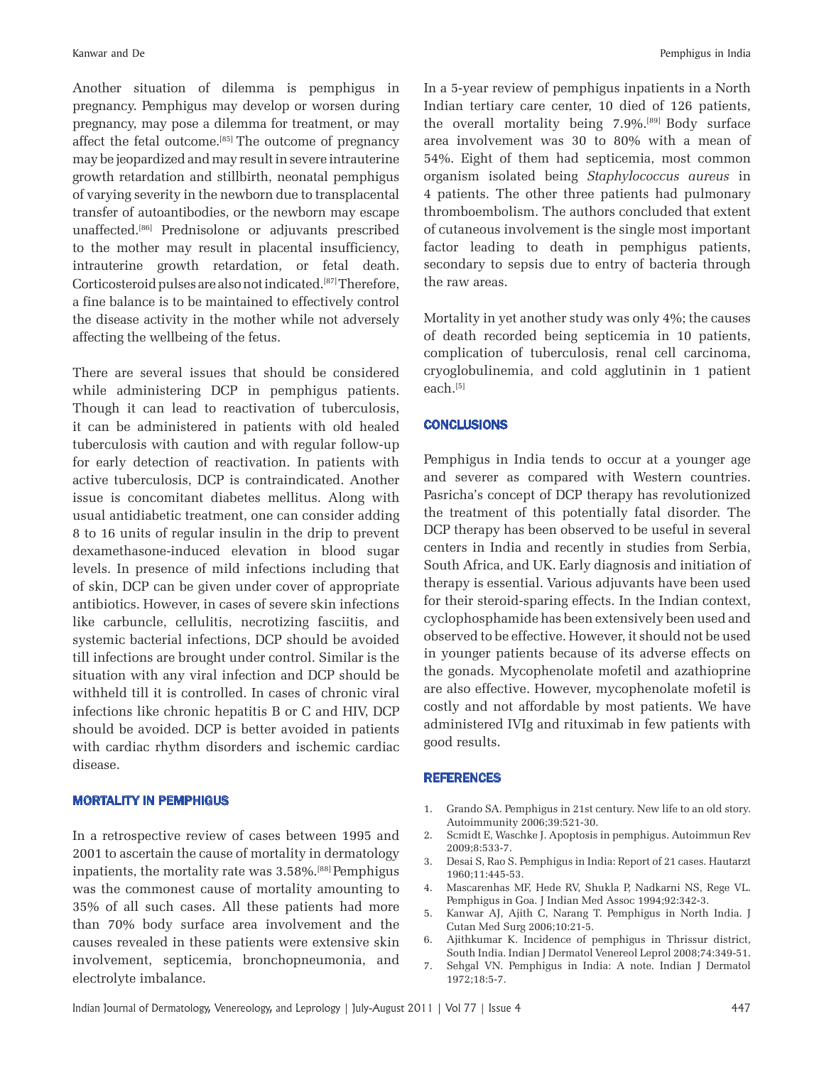Another situation of dilemma is pemphigus in pregnancy. Pemphigus may develop or worsen during pregnancy, may pose a dilemma for treatment, or may affect the fetal outcome.[85] The outcome of pregnancy may be jeopardized and may result in severe intrauterine growth retardation and stillbirth, neonatal pemphigus of varying severity in the newborn due to transplacental transfer of autoantibodies, or the newborn may escape unaffected.[86] Prednisolone or adjuvants prescribed to the mother may result in placental insufficiency, intrauterine growth retardation, or fetal death. Corticosteroid pulses are also not indicated.[87] Therefore, a fine balance is to be maintained to effectively control the disease activity in the mother while not adversely affecting the wellbeing of the fetus.

There are several issues that should be considered while administering DCP in pemphigus patients. Though it can lead to reactivation of tuberculosis, it can be administered in patients with old healed tuberculosis with caution and with regular follow-up for early detection of reactivation. In patients with active tuberculosis, DCP is contraindicated. Another issue is concomitant diabetes mellitus. Along with usual antidiabetic treatment, one can consider adding 8 to 16 units of regular insulin in the drip to prevent dexamethasone-induced elevation in blood sugar levels. In presence of mild infections including that of skin, DCP can be given under cover of appropriate antibiotics. However, in cases of severe skin infections like carbuncle, cellulitis, necrotizing fasciitis, and systemic bacterial infections, DCP should be avoided till infections are brought under control. Similar is the situation with any viral infection and DCP should be withheld till it is controlled. In cases of chronic viral infections like chronic hepatitis B or C and HIV, DCP should be avoided. DCP is better avoided in patients with cardiac rhythm disorders and ischemic cardiac disease.

#### MORTALITY IN PEMPHIGUS

In a retrospective review of cases between 1995 and 2001 to ascertain the cause of mortality in dermatology inpatients, the mortality rate was 3.58%.[88] Pemphigus was the commonest cause of mortality amounting to 35% of all such cases. All these patients had more than 70% body surface area involvement and the causes revealed in these patients were extensive skin involvement, septicemia, bronchopneumonia, and electrolyte imbalance.

In a 5-year review of pemphigus inpatients in a North Indian tertiary care center, 10 died of 126 patients, the overall mortality being  $7.9\%$ .<sup>[89]</sup> Body surface area involvement was 30 to 80% with a mean of 54%. Eight of them had septicemia, most common organism isolated being *Staphylococcus aureus* in 4 patients. The other three patients had pulmonary thromboembolism. The authors concluded that extent of cutaneous involvement is the single most important factor leading to death in pemphigus patients, secondary to sepsis due to entry of bacteria through the raw areas.

Mortality in yet another study was only 4%; the causes of death recorded being septicemia in 10 patients, complication of tuberculosis, renal cell carcinoma, cryoglobulinemia, and cold agglutinin in 1 patient each.[5]

#### **CONCLUSIONS**

Pemphigus in India tends to occur at a younger age and severer as compared with Western countries. Pasricha's concept of DCP therapy has revolutionized the treatment of this potentially fatal disorder. The DCP therapy has been observed to be useful in several centers in India and recently in studies from Serbia, South Africa, and UK. Early diagnosis and initiation of therapy is essential. Various adjuvants have been used for their steroid-sparing effects. In the Indian context, cyclophosphamide has been extensively been used and observed to be effective. However, it should not be used in younger patients because of its adverse effects on the gonads. Mycophenolate mofetil and azathioprine are also effective. However, mycophenolate mofetil is costly and not affordable by most patients. We have administered IVIg and rituximab in few patients with good results.

#### REFERENCES

- 1. Grando SA. Pemphigus in 21st century. New life to an old story. Autoimmunity 2006;39:521-30.
- 2. Scmidt E, Waschke J. Apoptosis in pemphigus. Autoimmun Rev 2009;8:533-7.
- 3. Desai S, Rao S. Pemphigus in India: Report of 21 cases. Hautarzt 1960;11:445-53.
- 4. Mascarenhas MF, Hede RV, Shukla P, Nadkarni NS, Rege VL. Pemphigus in Goa. J Indian Med Assoc 1994;92:342-3.
- 5. Kanwar AJ, Ajith C, Narang T. Pemphigus in North India. J Cutan Med Surg 2006;10:21-5.
- 6. Ajithkumar K. Incidence of pemphigus in Thrissur district, South India. Indian J Dermatol Venereol Leprol 2008;74:349-51.
- 7. Sehgal VN. Pemphigus in India: A note. Indian J Dermatol 1972;18:5-7.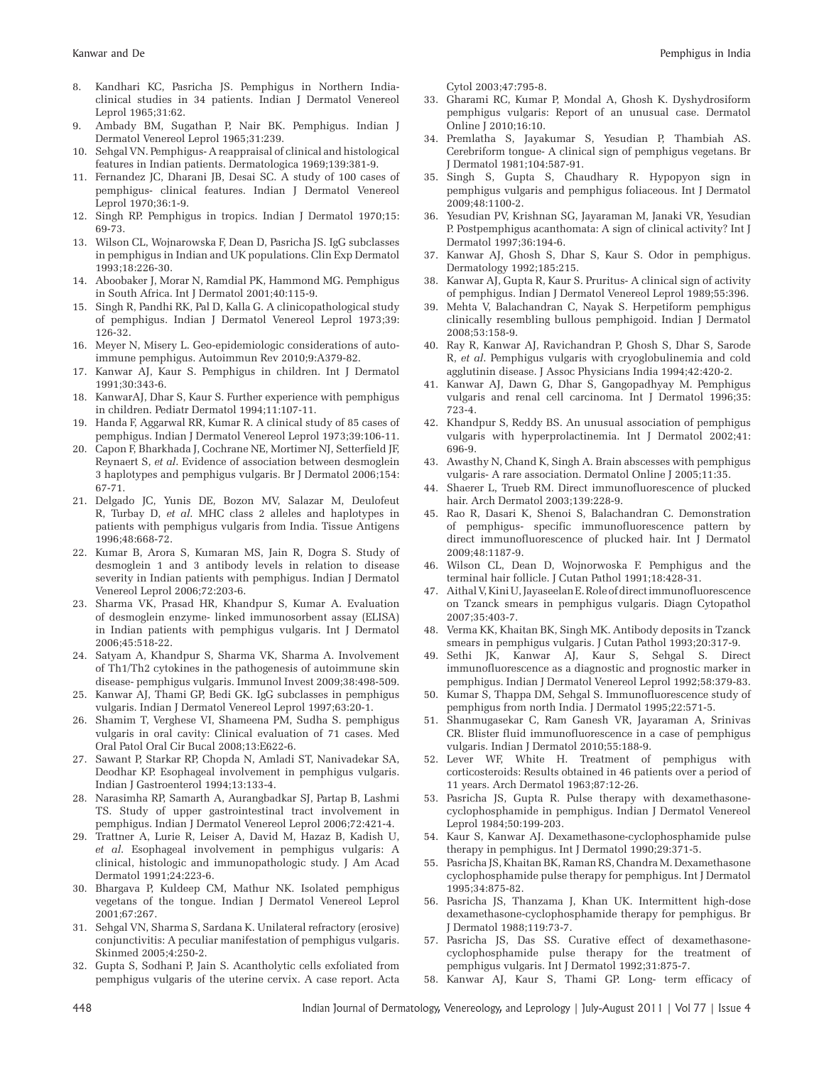- 8. Kandhari KC, Pasricha JS. Pemphigus in Northern Indiaclinical studies in 34 patients. Indian J Dermatol Venereol Leprol 1965;31:62.
- 9. Ambady BM, Sugathan P, Nair BK. Pemphigus. Indian J Dermatol Venereol Leprol 1965;31:239.
- 10. Sehgal VN. Pemphigus- A reappraisal of clinical and histological features in Indian patients. Dermatologica 1969;139:381-9.
- 11. Fernandez JC, Dharani JB, Desai SC. A study of 100 cases of pemphigus- clinical features. Indian J Dermatol Venereol Leprol 1970;36:1-9.
- 12. Singh RP. Pemphigus in tropics. Indian J Dermatol 1970;15: 69-73.
- 13. Wilson CL, Wojnarowska F, Dean D, Pasricha JS. IgG subclasses in pemphigus in Indian and UK populations. Clin Exp Dermatol 1993;18:226-30.
- 14. Aboobaker J, Morar N, Ramdial PK, Hammond MG. Pemphigus in South Africa. Int J Dermatol 2001;40:115-9.
- 15. Singh R, Pandhi RK, Pal D, Kalla G. A clinicopathological study of pemphigus. Indian J Dermatol Venereol Leprol 1973;39: 126-32.
- 16. Meyer N, Misery L. Geo-epidemiologic considerations of autoimmune pemphigus. Autoimmun Rev 2010;9:A379-82.
- 17. Kanwar AJ, Kaur S. Pemphigus in children. Int J Dermatol 1991;30:343-6.
- 18. KanwarAJ, Dhar S, Kaur S. Further experience with pemphigus in children. Pediatr Dermatol 1994;11:107-11.
- 19. Handa F, Aggarwal RR, Kumar R. A clinical study of 85 cases of pemphigus. Indian J Dermatol Venereol Leprol 1973;39:106-11.
- 20. Capon F, Bharkhada J, Cochrane NE, Mortimer NJ, Setterfield JF, Reynaert S, *et al*. Evidence of association between desmoglein 3 haplotypes and pemphigus vulgaris. Br J Dermatol 2006;154: 67-71.
- 21. Delgado JC, Yunis DE, Bozon MV, Salazar M, Deulofeut R, Turbay D, *et al*. MHC class 2 alleles and haplotypes in patients with pemphigus vulgaris from India. Tissue Antigens 1996;48:668-72.
- 22. Kumar B, Arora S, Kumaran MS, Jain R, Dogra S. Study of desmoglein 1 and 3 antibody levels in relation to disease severity in Indian patients with pemphigus. Indian J Dermatol Venereol Leprol 2006;72:203-6.
- 23. Sharma VK, Prasad HR, Khandpur S, Kumar A. Evaluation of desmoglein enzyme- linked immunosorbent assay (ELISA) in Indian patients with pemphigus vulgaris. Int J Dermatol 2006;45:518-22.
- 24. Satyam A, Khandpur S, Sharma VK, Sharma A. Involvement of Th1/Th2 cytokines in the pathogenesis of autoimmune skin disease- pemphigus vulgaris. Immunol Invest 2009;38:498-509.
- 25. Kanwar AJ, Thami GP, Bedi GK. IgG subclasses in pemphigus vulgaris. Indian J Dermatol Venereol Leprol 1997;63:20-1.
- 26. Shamim T, Verghese VI, Shameena PM, Sudha S. pemphigus vulgaris in oral cavity: Clinical evaluation of 71 cases. Med Oral Patol Oral Cir Bucal 2008;13:E622-6.
- 27. Sawant P, Starkar RP, Chopda N, Amladi ST, Nanivadekar SA, Deodhar KP. Esophageal involvement in pemphigus vulgaris. Indian J Gastroenterol 1994;13:133-4.
- 28. Narasimha RP, Samarth A, Aurangbadkar SJ, Partap B, Lashmi TS. Study of upper gastrointestinal tract involvement in pemphigus. Indian J Dermatol Venereol Leprol 2006;72:421-4.
- 29. Trattner A, Lurie R, Leiser A, David M, Hazaz B, Kadish U, *et al*. Esophageal involvement in pemphigus vulgaris: A clinical, histologic and immunopathologic study. J Am Acad Dermatol 1991;24:223-6.
- 30. Bhargava P, Kuldeep CM, Mathur NK. Isolated pemphigus vegetans of the tongue. Indian J Dermatol Venereol Leprol 2001;67:267.
- 31. Sehgal VN, Sharma S, Sardana K. Unilateral refractory (erosive) conjunctivitis: A peculiar manifestation of pemphigus vulgaris. Skinmed 2005;4:250-2.
- 32. Gupta S, Sodhani P, Jain S. Acantholytic cells exfoliated from pemphigus vulgaris of the uterine cervix. A case report. Acta

Cytol 2003;47:795-8.

- 33. Gharami RC, Kumar P, Mondal A, Ghosh K. Dyshydrosiform pemphigus vulgaris: Report of an unusual case. Dermatol Online J 2010;16:10.
- 34. Premlatha S, Jayakumar S, Yesudian P, Thambiah AS. Cerebriform tongue- A clinical sign of pemphigus vegetans. Br J Dermatol 1981;104:587-91.
- 35. Singh S, Gupta S, Chaudhary R. Hypopyon sign in pemphigus vulgaris and pemphigus foliaceous. Int J Dermatol 2009;48:1100-2.
- 36. Yesudian PV, Krishnan SG, Jayaraman M, Janaki VR, Yesudian P. Postpemphigus acanthomata: A sign of clinical activity? Int J Dermatol 1997;36:194-6.
- 37. Kanwar AJ, Ghosh S, Dhar S, Kaur S. Odor in pemphigus. Dermatology 1992;185:215.
- 38. Kanwar AJ, Gupta R, Kaur S. Pruritus- A clinical sign of activity of pemphigus. Indian J Dermatol Venereol Leprol 1989;55:396.
- 39. Mehta V, Balachandran C, Nayak S. Herpetiform pemphigus clinically resembling bullous pemphigoid. Indian J Dermatol 2008;53:158-9.
- 40. Ray R, Kanwar AJ, Ravichandran P, Ghosh S, Dhar S, Sarode R, *et al*. Pemphigus vulgaris with cryoglobulinemia and cold agglutinin disease. J Assoc Physicians India 1994;42:420-2.
- 41. Kanwar AJ, Dawn G, Dhar S, Gangopadhyay M. Pemphigus vulgaris and renal cell carcinoma. Int J Dermatol 1996;35: 723-4.
- 42. Khandpur S, Reddy BS. An unusual association of pemphigus vulgaris with hyperprolactinemia. Int J Dermatol 2002;41: 696-9.
- 43. Awasthy N, Chand K, Singh A. Brain abscesses with pemphigus vulgaris- A rare association. Dermatol Online J 2005;11:35.
- 44. Shaerer L, Trueb RM. Direct immunofluorescence of plucked hair. Arch Dermatol 2003;139:228-9.
- 45. Rao R, Dasari K, Shenoi S, Balachandran C. Demonstration of pemphigus- specific immunofluorescence pattern by direct immunofluorescence of plucked hair. Int J Dermatol 2009;48:1187-9.
- 46. Wilson CL, Dean D, Wojnorwoska F. Pemphigus and the terminal hair follicle. J Cutan Pathol 1991;18:428-31.
- 47. Aithal V, Kini U, Jayaseelan E. Role of direct immunofluorescence on Tzanck smears in pemphigus vulgaris. Diagn Cytopathol 2007;35:403-7.
- 48. Verma KK, Khaitan BK, Singh MK. Antibody deposits in Tzanck smears in pemphigus vulgaris. J Cutan Pathol 1993;20:317-9.
- 49. Sethi JK, Kanwar AJ, Kaur S, Sehgal S. Direct immunofluorescence as a diagnostic and prognostic marker in pemphigus. Indian J Dermatol Venereol Leprol 1992;58:379-83.
- 50. Kumar S, Thappa DM, Sehgal S. Immunofluorescence study of pemphigus from north India. J Dermatol 1995;22:571-5.
- 51. Shanmugasekar C, Ram Ganesh VR, Jayaraman A, Srinivas CR. Blister fluid immunofluorescence in a case of pemphigus vulgaris. Indian J Dermatol 2010;55:188-9.
- 52. Lever WF, White H. Treatment of pemphigus with corticosteroids: Results obtained in 46 patients over a period of 11 years. Arch Dermatol 1963;87:12-26.
- 53. Pasricha JS, Gupta R. Pulse therapy with dexamethasonecyclophosphamide in pemphigus. Indian J Dermatol Venereol Leprol 1984;50:199-203.
- 54. Kaur S, Kanwar AJ. Dexamethasone-cyclophosphamide pulse therapy in pemphigus. Int J Dermatol 1990;29:371-5.
- 55. Pasricha JS, Khaitan BK, Raman RS, Chandra M. Dexamethasone cyclophosphamide pulse therapy for pemphigus. Int J Dermatol 1995;34:875-82.
- 56. Pasricha JS, Thanzama J, Khan UK. Intermittent high-dose dexamethasone-cyclophosphamide therapy for pemphigus. Br J Dermatol 1988;119:73-7.
- 57. Pasricha JS, Das SS. Curative effect of dexamethasonecyclophosphamide pulse therapy for the treatment of pemphigus vulgaris. Int J Dermatol 1992;31:875-7.
- 58. Kanwar AJ, Kaur S, Thami GP. Long- term efficacy of